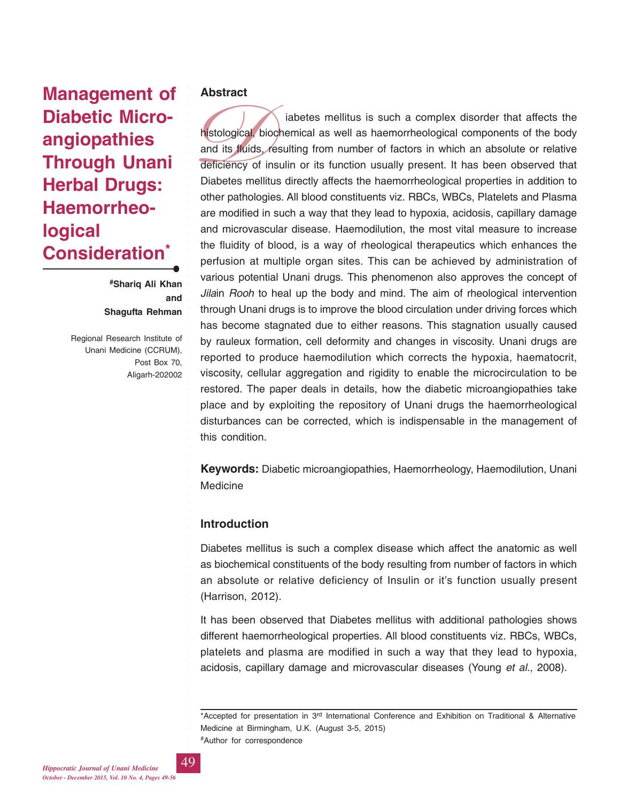# **Management of Diabetic Microangiopathies Through Unani Herbal Drugs: Haemorrheological Consideration\***

**#Shariq Ali Khan and Shagufta Rehman**

Regional Research Institute of Unani Medicine (CCRUM), Post Box 70, Aligarh-202002

#### **Abstract**

histological, b<br>and its fluids,<br>deficiency of<br>Diabetes mel iabetes mellitus is such a complex disorder that affects the histological, biochemical as well as haemorrheological components of the body and its fluids, resulting from number of factors in which an absolute or relative deficiency of insulin or its function usually present. It has been observed that Diabetes mellitus directly affects the haemorrheological properties in addition to other pathologies. All blood constituents viz. RBCs, WBCs, Platelets and Plasma are modified in such a way that they lead to hypoxia, acidosis, capillary damage and microvascular disease. Haemodilution, the most vital measure to increase the fluidity of blood, is a way of rheological therapeutics which enhances the perfusion at multiple organ sites. This can be achieved by administration of various potential Unani drugs. This phenomenon also approves the concept of *Jila*in *Rooh* to heal up the body and mind. The aim of rheological intervention through Unani drugs is to improve the blood circulation under driving forces which has become stagnated due to either reasons. This stagnation usually caused by rauleux formation, cell deformity and changes in viscosity. Unani drugs are reported to produce haemodilution which corrects the hypoxia, haematocrit, viscosity, cellular aggregation and rigidity to enable the microcirculation to be restored. The paper deals in details, how the diabetic microangiopathies take place and by exploiting the repository of Unani drugs the haemorrheological disturbances can be corrected, which is indispensable in the management of this condition.

**Keywords:** Diabetic microangiopathies, Haemorrheology, Haemodilution, Unani Medicine

## **Introduction**

Diabetes mellitus is such a complex disease which affect the anatomic as well as biochemical constituents of the body resulting from number of factors in which an absolute or relative deficiency of Insulin or it's function usually present (Harrison, 2012).

It has been observed that Diabetes mellitus with additional pathologies shows different haemorrheological properties. All blood constituents viz. RBCs, WBCs, platelets and plasma are modified in such a way that they lead to hypoxia, acidosis, capillary damage and microvascular diseases (Young *et al*., 2008).

\*Accepted for presentation in 3<sup>rd</sup> International Conference and Exhibition on Traditional & Alternative Medicine at Birmingham, U.K. (August 3-5, 2015) #Author for correspondence

*Hippocratic Journal of Unani Medicine* 49 *October - December 2015, Vol. 10 No. 4, Pages 49-56*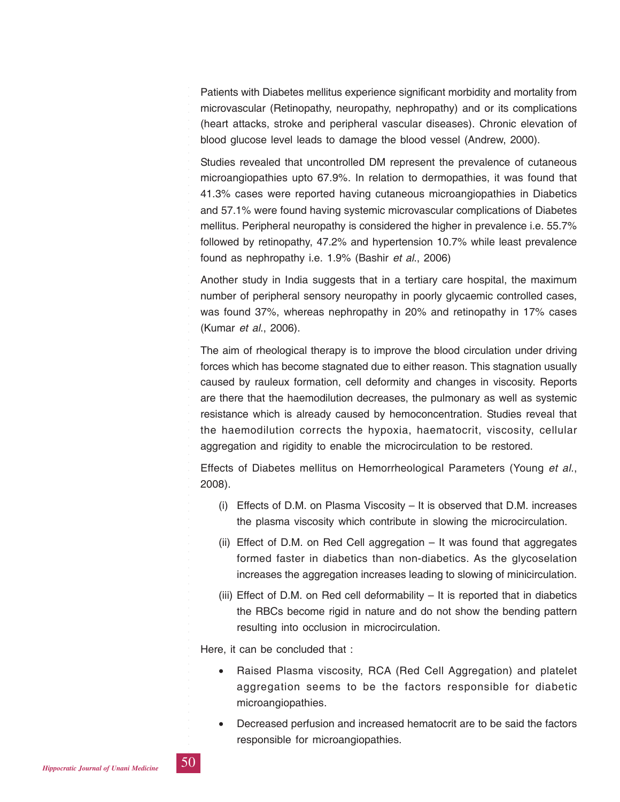Patients with Diabetes mellitus experience significant morbidity and mortality from microvascular (Retinopathy, neuropathy, nephropathy) and or its complications (heart attacks, stroke and peripheral vascular diseases). Chronic elevation of blood glucose level leads to damage the blood vessel (Andrew, 2000).

Studies revealed that uncontrolled DM represent the prevalence of cutaneous microangiopathies upto 67.9%. In relation to dermopathies, it was found that 41.3% cases were reported having cutaneous microangiopathies in Diabetics and 57.1% were found having systemic microvascular complications of Diabetes mellitus. Peripheral neuropathy is considered the higher in prevalence i.e. 55.7% followed by retinopathy, 47.2% and hypertension 10.7% while least prevalence found as nephropathy i.e. 1.9% (Bashir *et al*., 2006)

Another study in India suggests that in a tertiary care hospital, the maximum number of peripheral sensory neuropathy in poorly glycaemic controlled cases, was found 37%, whereas nephropathy in 20% and retinopathy in 17% cases (Kumar *et al*., 2006).

The aim of rheological therapy is to improve the blood circulation under driving forces which has become stagnated due to either reason. This stagnation usually caused by rauleux formation, cell deformity and changes in viscosity. Reports are there that the haemodilution decreases, the pulmonary as well as systemic resistance which is already caused by hemoconcentration. Studies reveal that the haemodilution corrects the hypoxia, haematocrit, viscosity, cellular aggregation and rigidity to enable the microcirculation to be restored.

Effects of Diabetes mellitus on Hemorrheological Parameters (Young *et al.*, 2008).

- (i) Effects of D.M. on Plasma Viscosity It is observed that D.M. increases the plasma viscosity which contribute in slowing the microcirculation.
- (ii) Effect of D.M. on Red Cell aggregation It was found that aggregates formed faster in diabetics than non-diabetics. As the glycoselation increases the aggregation increases leading to slowing of minicirculation.
- (iii) Effect of D.M. on Red cell deformability  $-$  It is reported that in diabetics the RBCs become rigid in nature and do not show the bending pattern resulting into occlusion in microcirculation.

Here, it can be concluded that :

- Raised Plasma viscosity, RCA (Red Cell Aggregation) and platelet aggregation seems to be the factors responsible for diabetic microangiopathies.
- Decreased perfusion and increased hematocrit are to be said the factors responsible for microangiopathies.

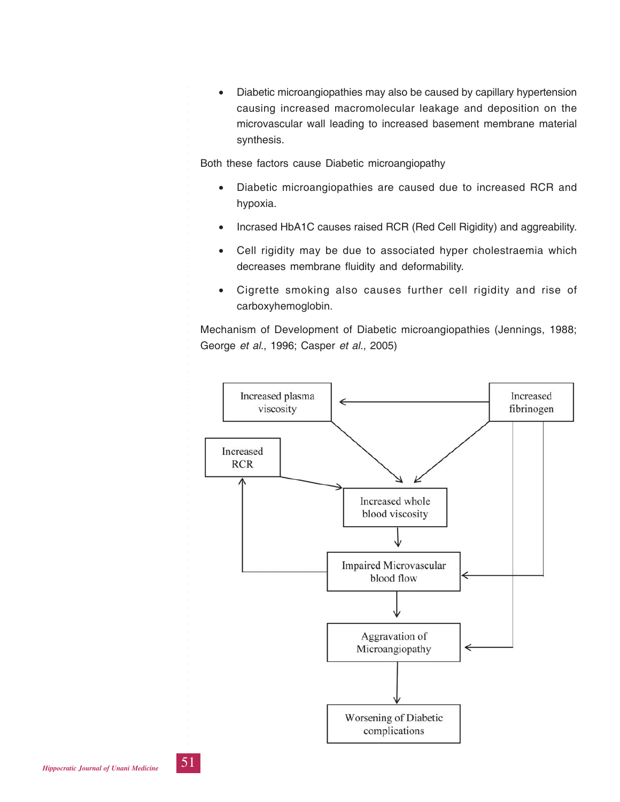• Diabetic microangiopathies may also be caused by capillary hypertension causing increased macromolecular leakage and deposition on the microvascular wall leading to increased basement membrane material synthesis.

Both these factors cause Diabetic microangiopathy

- Diabetic microangiopathies are caused due to increased RCR and hypoxia.
- Incrased HbA1C causes raised RCR (Red Cell Rigidity) and aggreability.
- Cell rigidity may be due to associated hyper cholestraemia which decreases membrane fluidity and deformability.
- Cigrette smoking also causes further cell rigidity and rise of carboxyhemoglobin.

Mechanism of Development of Diabetic microangiopathies (Jennings, 1988; George *et al.*, 1996; Casper *et al.*, 2005)

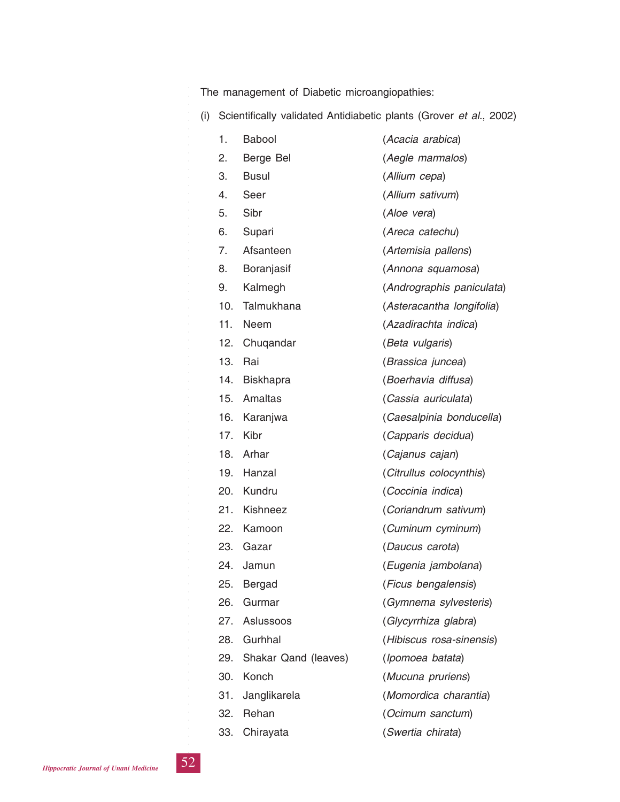The management of Diabetic microangiopathies:

(i) Scientifically validated Antidiabetic plants (Grover *et al*., 2002)

| 1.  | <b>Babool</b>        | (Acacia arabica)          |
|-----|----------------------|---------------------------|
| 2.  | Berge Bel            | (Aegle marmalos)          |
| 3.  | <b>Busul</b>         | (Allium cepa)             |
| 4.  | Seer                 | (Allium sativum)          |
| 5.  | Sibr                 | (Aloe vera)               |
| 6.  | Supari               | (Areca catechu)           |
| 7.  | Afsanteen            | (Artemisia pallens)       |
| 8.  | Boranjasif           | (Annona squamosa)         |
| 9.  | Kalmegh              | (Andrographis paniculata) |
| 10. | Talmukhana           | (Asteracantha longifolia) |
| 11. | Neem                 | (Azadirachta indica)      |
| 12. | Chuqandar            | (Beta vulgaris)           |
| 13. | Rai                  | (Brassica juncea)         |
| 14. | <b>Biskhapra</b>     | (Boerhavia diffusa)       |
| 15. | Amaltas              | (Cassia auriculata)       |
| 16. | Karanjwa             | (Caesalpinia bonducella)  |
| 17. | Kibr                 | (Capparis decidua)        |
| 18. | Arhar                | (Cajanus cajan)           |
| 19. | Hanzal               | (Citrullus colocynthis)   |
| 20. | Kundru               | (Coccinia indica)         |
| 21. | Kishneez             | (Coriandrum sativum)      |
| 22. | Kamoon               | (Cuminum cyminum)         |
| 23. | Gazar                | (Daucus carota)           |
| 24. | Jamun                | (Eugenia jambolana)       |
| 25. | Bergad               | (Ficus bengalensis)       |
| 26. | Gurmar               | (Gymnema sylvesteris)     |
| 27. | Aslussoos            | (Glycyrrhiza glabra)      |
| 28. | Gurhhal              | (Hibiscus rosa-sinensis)  |
| 29. | Shakar Qand (leaves) | (Ipomoea batata)          |
| 30. | Konch                | (Mucuna pruriens)         |
| 31. | Janglikarela         | (Momordica charantia)     |
| 32. | Rehan                | (Ocimum sanctum)          |
| 33. | Chirayata            | (Swertia chirata)         |

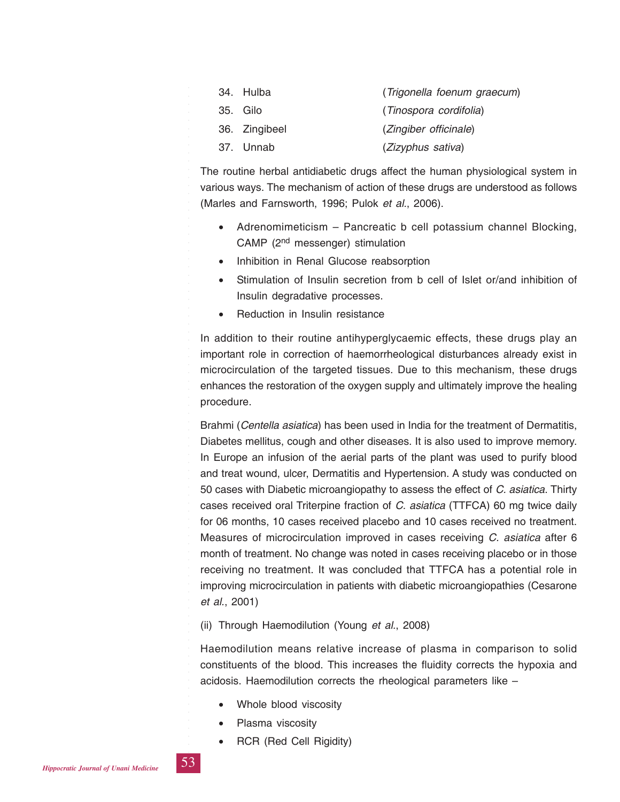| 34. Hulba     | (Trigonella foenum graecum) |
|---------------|-----------------------------|
| 35. Gilo      | (Tinospora cordifolia)      |
| 36. Zingibeel | (Zingiber officinale)       |
| 37. Unnab     | (Zizyphus sativa)           |

The routine herbal antidiabetic drugs affect the human physiological system in various ways. The mechanism of action of these drugs are understood as follows (Marles and Farnsworth, 1996; Pulok *et al.*, 2006).

- Adrenomimeticism Pancreatic b cell potassium channel Blocking, CAMP (2nd messenger) stimulation
- Inhibition in Renal Glucose reabsorption
- Stimulation of Insulin secretion from b cell of Islet or/and inhibition of Insulin degradative processes.
- Reduction in Insulin resistance

In addition to their routine antihyperglycaemic effects, these drugs play an important role in correction of haemorrheological disturbances already exist in microcirculation of the targeted tissues. Due to this mechanism, these drugs enhances the restoration of the oxygen supply and ultimately improve the healing procedure.

Brahmi (*Centella asiatica*) has been used in India for the treatment of Dermatitis, Diabetes mellitus, cough and other diseases. It is also used to improve memory. In Europe an infusion of the aerial parts of the plant was used to purify blood and treat wound, ulcer, Dermatitis and Hypertension. A study was conducted on 50 cases with Diabetic microangiopathy to assess the effect of *C. asiatica*. Thirty cases received oral Triterpine fraction of *C. asiatica* (TTFCA) 60 mg twice daily for 06 months, 10 cases received placebo and 10 cases received no treatment. Measures of microcirculation improved in cases receiving *C. asiatica* after 6 month of treatment. No change was noted in cases receiving placebo or in those receiving no treatment. It was concluded that TTFCA has a potential role in improving microcirculation in patients with diabetic microangiopathies (Cesarone *et al.*, 2001)

#### (ii) Through Haemodilution (Young *et al.*, 2008)

Haemodilution means relative increase of plasma in comparison to solid constituents of the blood. This increases the fluidity corrects the hypoxia and acidosis. Haemodilution corrects the rheological parameters like –

- Whole blood viscosity
- Plasma viscosity
- RCR (Red Cell Rigidity)

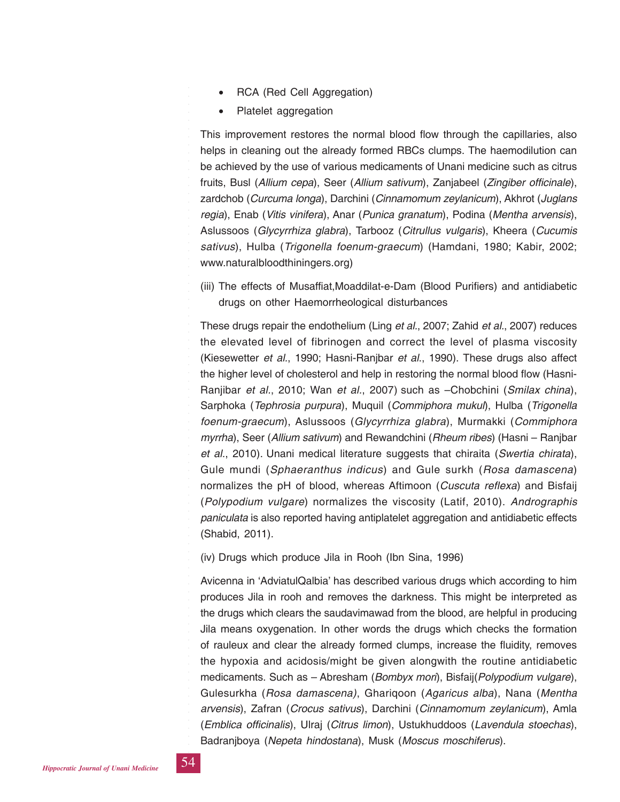- RCA (Red Cell Aggregation)
- Platelet aggregation

This improvement restores the normal blood flow through the capillaries, also helps in cleaning out the already formed RBCs clumps. The haemodilution can be achieved by the use of various medicaments of Unani medicine such as citrus fruits, Busl (*Allium cepa*), Seer (*Allium sativum*), Zanjabeel (*Zingiber officinale*), zardchob (*Curcuma longa*), Darchini (*Cinnamomum zeylanicum*), Akhrot (*Juglans regia*), Enab (*Vitis vinifera*), Anar (*Punica granatum*), Podina (*Mentha arvensis*), Aslussoos (*Glycyrrhiza glabra*), Tarbooz (*Citrullus vulgaris*), Kheera (*Cucumis sativus*), Hulba (*Trigonella foenum-graecum*) (Hamdani, 1980; Kabir, 2002; www.naturalbloodthiningers.org)

(iii) The effects of Musaffiat,Moaddilat-e-Dam (Blood Purifiers) and antidiabetic drugs on other Haemorrheological disturbances

These drugs repair the endothelium (Ling *et al.*, 2007; Zahid *et al.*, 2007) reduces the elevated level of fibrinogen and correct the level of plasma viscosity (Kiesewetter *et al.*, 1990; Hasni-Ranjbar *et al*., 1990). These drugs also affect the higher level of cholesterol and help in restoring the normal blood flow (Hasni-Ranjibar *et al.*, 2010; Wan *et al.*, 2007) such as –Chobchini (*Smilax china*), Sarphoka (*Tephrosia purpura*), Muquil (*Commiphora mukul*), Hulba (*Trigonella foenum-graecum*), Aslussoos (*Glycyrrhiza glabra*), Murmakki (*Commiphora myrrha*), Seer (*Allium sativum*) and Rewandchini (*Rheum ribes*) (Hasni – Ranjbar *et al.*, 2010). Unani medical literature suggests that chiraita (*Swertia chirata*), Gule mundi (*Sphaeranthus indicus*) and Gule surkh (*Rosa damascena*) normalizes the pH of blood, whereas Aftimoon (*Cuscuta reflexa*) and Bisfaij (*Polypodium vulgare*) normalizes the viscosity (Latif, 2010). *Andrographis paniculata* is also reported having antiplatelet aggregation and antidiabetic effects (Shabid, 2011).

(iv) Drugs which produce Jila in Rooh (Ibn Sina, 1996)

Avicenna in 'AdviatulQalbia' has described various drugs which according to him produces Jila in rooh and removes the darkness. This might be interpreted as the drugs which clears the saudavimawad from the blood, are helpful in producing Jila means oxygenation. In other words the drugs which checks the formation of rauleux and clear the already formed clumps, increase the fluidity, removes the hypoxia and acidosis/might be given alongwith the routine antidiabetic medicaments. Such as – Abresham (*Bombyx mori*), Bisfaij(*Polypodium vulgare*), Gulesurkha (*Rosa damascena)*, Ghariqoon (*Agaricus alba*), Nana (*Mentha arvensis*), Zafran (*Crocus sativus*), Darchini (*Cinnamomum zeylanicum*), Amla (*Emblica officinalis*), Ulraj (*Citrus limon*), Ustukhuddoos (*Lavendula stoechas*), Badranjboya (*Nepeta hindostana*), Musk (*Moscus moschiferus*).

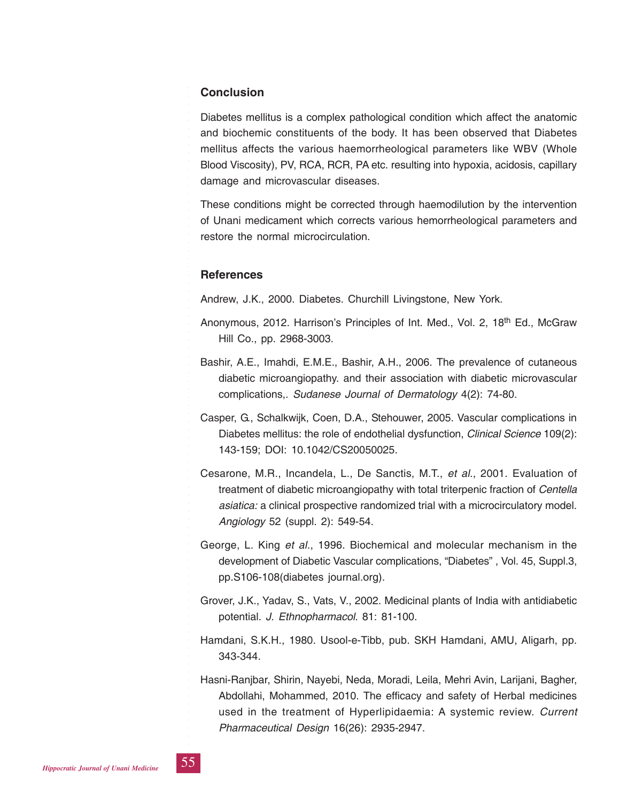### **Conclusion**

Diabetes mellitus is a complex pathological condition which affect the anatomic and biochemic constituents of the body. It has been observed that Diabetes mellitus affects the various haemorrheological parameters like WBV (Whole Blood Viscosity), PV, RCA, RCR, PA etc. resulting into hypoxia, acidosis, capillary damage and microvascular diseases.

These conditions might be corrected through haemodilution by the intervention of Unani medicament which corrects various hemorrheological parameters and restore the normal microcirculation.

#### **References**

Andrew, J.K., 2000. Diabetes. Churchill Livingstone, New York.

- Anonymous, 2012. Harrison's Principles of Int. Med., Vol. 2, 18<sup>th</sup> Ed., McGraw Hill Co., pp. 2968-3003.
- Bashir, A.E., Imahdi, E.M.E., Bashir, A.H., 2006. The prevalence of cutaneous diabetic microangiopathy. and their association with diabetic microvascular complications,. *Sudanese Journal of Dermatology* 4(2): 74-80.
- Casper, G., Schalkwijk, Coen, D.A., Stehouwer, 2005. Vascular complications in Diabetes mellitus: the role of endothelial dysfunction, *Clinical Science* 109(2): 143-159; DOI: 10.1042/CS20050025.
- Cesarone, M.R., Incandela, L., De Sanctis, M.T., *et al*., 2001. Evaluation of treatment of diabetic microangiopathy with total triterpenic fraction of *Centella asiatica:* a clinical prospective randomized trial with a microcirculatory model. *Angiology* 52 (suppl. 2): 549-54.
- George, L. King *et al.*, 1996. Biochemical and molecular mechanism in the development of Diabetic Vascular complications, "Diabetes" , Vol. 45, Suppl.3, pp.S106-108(diabetes journal.org).
- Grover, J.K., Yadav, S., Vats, V., 2002. Medicinal plants of India with antidiabetic potential. *J. Ethnopharmacol*. 81: 81-100.
- Hamdani, S.K.H., 1980. Usool-e-Tibb, pub. SKH Hamdani, AMU, Aligarh, pp. 343-344.
- Hasni-Ranjbar, Shirin, Nayebi, Neda, Moradi, Leila, Mehri Avin, Larijani, Bagher, Abdollahi, Mohammed, 2010. The efficacy and safety of Herbal medicines used in the treatment of Hyperlipidaemia: A systemic review. *Current Pharmaceutical Design* 16(26): 2935-2947.